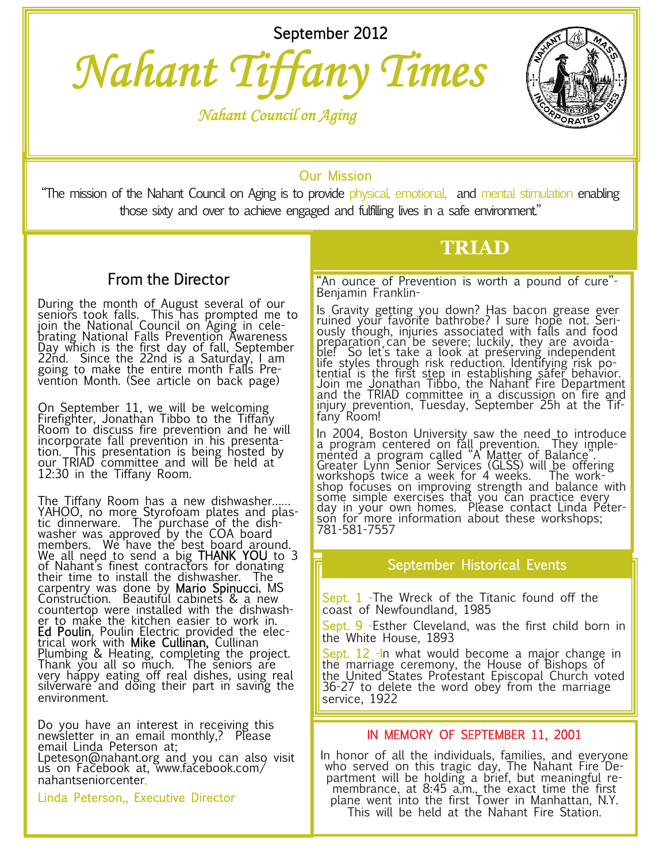September 2012



 *Nahant Council on Aging* 



# Our Mission

"The mission of the Nahant Council on Aging is to provide physical, emotional, and mental stimulation enabling those sixty and over to achieve engaged and fulfilling lives in a safe environment."

# From the Director

During the month of August several of our seniors took falls. This has prompted me to join the National Council on Aging in celebrating National Falls Prevention Awareness Day which is the first day of fall, September 22nd. Since the 22nd is a Saturday, I am going to make the entire month Falls Prevention Month. (See article on back page)

On September 11, we will be welcoming Firefighter, Jonathan Tibbo to the Tiffany Room to discuss fire prevention and he´will<br>incorp<u>o</u>rate fall prevention in his presentation. This presentation is being hosted by our TRIAD committee and will be held at 12:30 in the Tiffany Room.

The Tiffany Room has a new dishwasher…… YAHOO, no more Styrofoam plates and plastic dinnerware. The purchase of the dishwasher was approved by the COA board members. We have the best board around. We all need to send a big THANK YOU to 3 of Nahant's finest contractors for donating their time to install the dishwasher. The carpentry was done by **Mario Spinucci**, MS<br>Construction. Beautiful cabinets & a new countertop were installed with the dishwasher to make the kitchen easier to work in. **Ed Poulin**, Poulin Electric provided the elec-<br>trical work with **Mike Cullinan,** Cullinan Plumbing & Heating, completing the project.<br>Thank you all so much. The seniors are very happy eating off real dishes, using real silverware and doing their part in saving the environment.

Do you have an interest in receiving this newsletter in an email monthly,? Please email Linda Peterson at; Lpeteson@nahant.org and you can also visit us on Facebook at, www.facebook.com/ nahantseniorcenter.

Linda Peterson,, Executive Director

**TRIAD** 

"An ounce of Prevention is worth a pound of cure"- Benjamin Franklin-

Is Gravity getting you down? Has bacon grease ever ruined your favorite bathrobe? I sure hope not. Seriously though, injuries associated with falls and food preparation can be severe; luckily, they are avoidable! So let's take a look at preserving independent life styles through risk reduction. Identifying risk po-<br>tential is the first s<u>tep</u> in establishing safer behavior. Join me Jonathan Tibbo, the Nahant Fire Department and the TRIAD committee in a discussion on fire and injury prevention, Tuesday, September 25h at the Tiffany Room!

In 2004, Boston University saw the need to introduce a program centered on fall prevention. They implemented a program called "A Matter of Balance". Greater Lynn Senior Services (GLSS) will be offering workshops twice a week for 4 weeks. The workshop focuses on improving strength and balance with some simple exercises that you can practice every day in your own homes. Please contact Linda Peterson for more information about these workshops; 781-581-7557

## September Historical Events

Sept. 1 -The Wreck of the Titanic found off the coast of Newfoundland, 1985

Sept. 9 -Esther Cleveland, was the first child born in the White House, 1893

<mark>Sept. 12 -I</mark>n what would become a major change in<br>the marriage ceremony, the House of Bishops of the United States Protestant Episcopal Church voted 36-27 to delete the word obey from the marriage service, 1922

### IN MEMORY OF SEPTEMBER 11, 2001

In honor of all the individuals, families, and everyone who served on this tragic day, The Nahant Fire Department will be holding a brief, but meaningful remembrance, at 8:45 a.m., the exact time the first plane went into the first Tower in Manhattan, N.Y. This will be held at the Nahant Fire Station.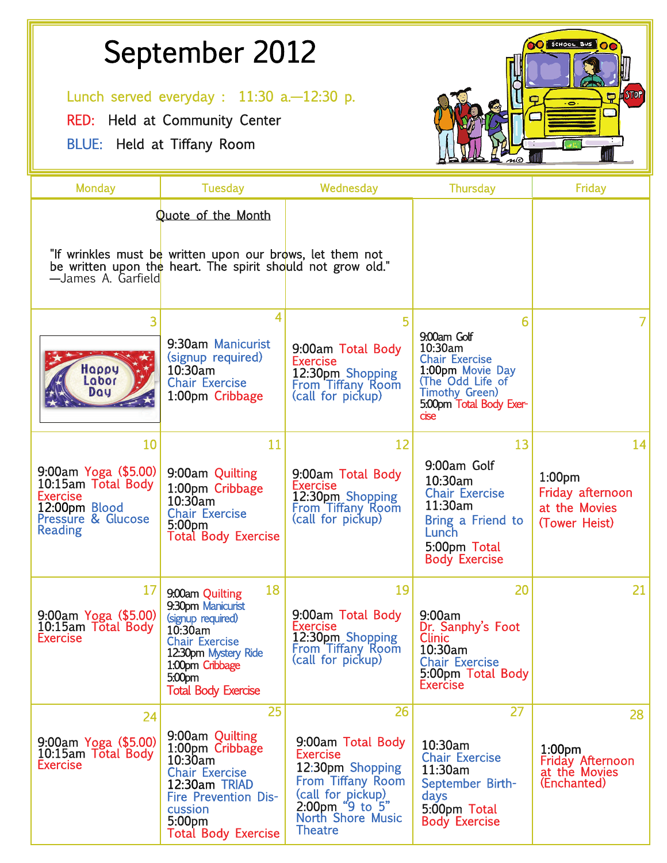# September 2012<br>
Lunch served everyday : 11:30 a.—12:30 p.

RED: Held at Community Center

BLUE: Held at Tiffany Room



| <b>Monday</b>                                                                                                                       | <b>Tuesday</b>                                                                                                                                                                                     | Wednesday                                                                                                                                                                                | <b>Thursday</b>                                                                                                                                          | <b>Friday</b>                                                                       |
|-------------------------------------------------------------------------------------------------------------------------------------|----------------------------------------------------------------------------------------------------------------------------------------------------------------------------------------------------|------------------------------------------------------------------------------------------------------------------------------------------------------------------------------------------|----------------------------------------------------------------------------------------------------------------------------------------------------------|-------------------------------------------------------------------------------------|
| -James A. Garfield                                                                                                                  | Quote of the Month<br>"If wrinkles must be written upon our brows, let them not<br>be written upon the heart. The spirit should not grow old."                                                     |                                                                                                                                                                                          |                                                                                                                                                          |                                                                                     |
| 3<br>Happy<br>Labor<br>Day                                                                                                          | 4<br>9:30am Manicurist<br>(signup required)<br>10:30am<br><b>Chair Exercise</b><br>1:00pm Cribbage                                                                                                 | 5<br>9:00am Total Body<br><b>Exercise</b><br>12:30pm Shopping<br>From Tiffany Room<br>(call for pickup)                                                                                  | 6<br>9:00am Golf<br>10:30am<br><b>Chair Exercise</b><br>1:00pm Movie Day<br>(The Odd Life of<br><b>Timothy Green)</b><br>5:00pm Total Body Exer-<br>cise |                                                                                     |
| 10<br>$9:00$ am Yoga (\$5.00)<br>10:15am Total Body<br><b>Exercise</b><br>12:00pm Blood<br><b>Pressure &amp; Glucose</b><br>Reading | 11<br>9:00am Quilting<br>1:00pm Cribbage<br>10:30am<br><b>Chair Exercise</b><br>5:00 <sub>pm</sub><br><b>Total Body Exercise</b>                                                                   | 12<br>9:00am Total Body<br><b>Exercise</b><br>12:30pm Shopping<br>From Tiffany Room<br>(call for pickup)                                                                                 | 13<br>9:00am Golf<br>10:30am<br><b>Chair Exercise</b><br>11:30am<br>Bring a Friend to<br>Lunch<br>5:00pm Total<br><b>Body Exercise</b>                   | 14<br>1:00 <sub>pm</sub><br>Friday afternoon<br>at the Movies<br>(Tower Heist)      |
| 17<br>9:00am Yoga (\$5.00)<br>10:15am Total Body<br><b>Exercise</b>                                                                 | 18<br>9.00am Quilting<br>9:30pm Manicurist<br>(signup required)<br>10:30am<br><b>Chair Exercise</b><br>12:30pm Mystery Ride<br>1.00pm Cribbage<br>5.00 <sub>pm</sub><br><b>Total Body Exercise</b> | 19<br>9:00am Total Body<br><b>Exercise</b><br>12:30pm Shopping<br>From Tiffany Room<br>(call for pickup)                                                                                 | 20<br>9:00am<br>Dr. Sanphy's Foot<br><b>Clinic</b><br>10:30am<br><b>Chair Exercise</b><br>5:00pm Total Body<br><b>Exercise</b>                           | 21                                                                                  |
| 24<br>9:00am Yoga (\$5.00)<br>10:15am Total Body<br><b>Exercise</b>                                                                 | 25<br>9:00am Quilting<br>1:00pm Cribbage<br>10:30am<br><b>Chair Exercise</b><br>12:30am TRIAD<br><b>Fire Prevention Dis-</b><br>cussion<br>5:00pm<br><b>Total Body Exercise</b>                    | 26<br>9:00am Total Body<br><b>Exercise</b><br>12:30pm Shopping<br><b>From Tiffany Room</b><br>(call for pickup)<br>$2:00$ pm " $9$ to $5"$<br><b>North Shore Music</b><br><b>Theatre</b> | 27<br>10:30am<br><b>Chair Exercise</b><br>11:30am<br>September Birth-<br>days<br>5:00pm Total<br><b>Body Exercise</b>                                    | 28<br>1:00 <sub>pm</sub><br><b>Friday Afternoon</b><br>at the Movies<br>(Enchanted) |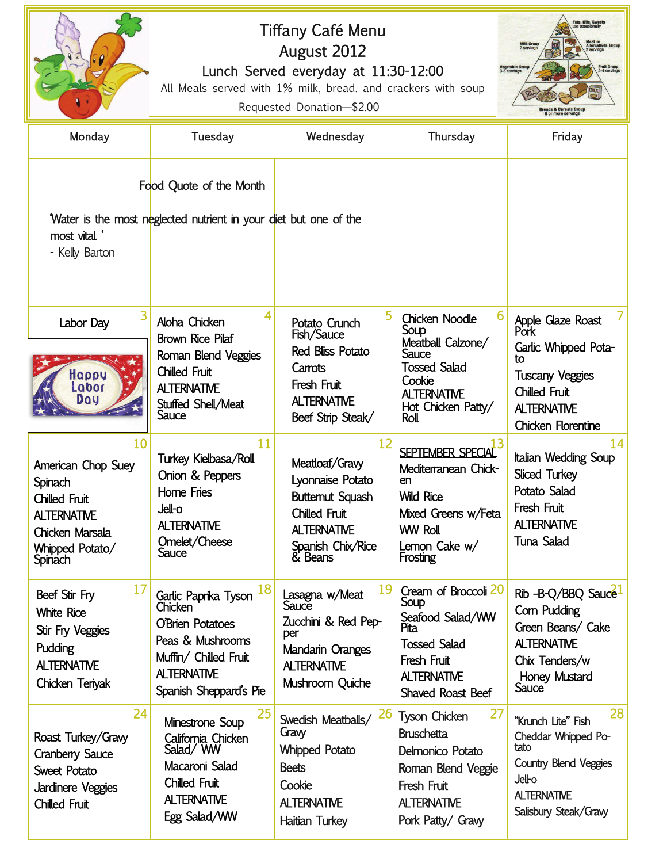|                                                                                                                                    | Fats, Oils, Sweets<br>Tiffany Café Menu<br><b>Milk Grou</b><br>2 servings<br>August 2012<br>egetable Group<br>-5 servines<br><b>Fruit Group</b><br>Lunch Served everyday at 11:30-12:00<br>All Meals served with 1% milk, bread. and crackers with soup<br><b>DRA</b><br>Requested Donation-\$2.00 |                                                                                                                                            |                                                                                                                                                     |                                                                                                                                                              |  |
|------------------------------------------------------------------------------------------------------------------------------------|----------------------------------------------------------------------------------------------------------------------------------------------------------------------------------------------------------------------------------------------------------------------------------------------------|--------------------------------------------------------------------------------------------------------------------------------------------|-----------------------------------------------------------------------------------------------------------------------------------------------------|--------------------------------------------------------------------------------------------------------------------------------------------------------------|--|
| Monday                                                                                                                             | Tuesday                                                                                                                                                                                                                                                                                            | Wednesday                                                                                                                                  | Thursday                                                                                                                                            | Friday                                                                                                                                                       |  |
|                                                                                                                                    | Food Quote of the Month                                                                                                                                                                                                                                                                            |                                                                                                                                            |                                                                                                                                                     |                                                                                                                                                              |  |
| most vital.<br>- Kelly Barton                                                                                                      | Water is the most neglected nutrient in your diet but one of the                                                                                                                                                                                                                                   |                                                                                                                                            |                                                                                                                                                     |                                                                                                                                                              |  |
| Labor Day<br>Happy<br>Labor<br>Day                                                                                                 | 4<br>Aloha Chicken<br><b>Brown Rice Pilaf</b><br>Roman Blend Veggies<br>Chilled Fruit<br><b>ALTERNATIVE</b><br>Stuffed Shell/Meat<br>Sauce                                                                                                                                                         | 5<br>Potato Crunch<br>Fish/Sauce<br><b>Red Bliss Potato</b><br>Carrots<br>Fresh Fruit<br><b>ALTERNATIVE</b><br>Beef Strip Steak/           | <b>Chicken Noodle</b><br>Soup<br>Meatball Calzone/<br>Sauce<br><b>Tossed Salad</b><br>Cookie<br><b>ALTERNATIVE</b><br>Hot Chicken Patty/<br>Roll    | Apple Glaze Roast<br>Pork<br>Garlic Whipped Pota-<br>tΩ<br><b>Tuscany Veggies</b><br><b>Chilled Fruit</b><br><b>ALTERNATIVE</b><br><b>Chicken Florentine</b> |  |
| 10<br>American Chop Suey<br>Spinach<br><b>Chilled Fruit</b><br><b>ALTERNATIVE</b><br>Chicken Marsala<br>Whipped Potato/<br>Spinach | 11<br>Turkey Kielbasa/Roll<br>Onion & Peppers<br>Home Fries<br><b>Jell-o</b><br><b>ALTERNATIVE</b><br>Omelet/Cheese<br>Sauce                                                                                                                                                                       | 12<br>Meatloaf/Gravy<br>Lyonnaise Potato<br><b>Butternut Squash</b><br>Chilled Fruit<br><b>ALTERNATIVE</b><br>Spanish Chix/Rice<br>& Beans | SEPTEMBER SPECIAL<br>Mediterranean Chick-<br>en<br><b>Wild Rice</b><br>Mixed Greens w/Feta<br><b>WW Roll</b><br>Lemon Cake w/<br>Frosting           | 14<br>Italian Wedding Soup<br><b>Sliced Turkey</b><br>Potato Salad<br>Fresh Fruit<br><b>ALTERNATIVE</b><br><b>Tuna Salad</b>                                 |  |
| 17<br>Beef Stir Fry<br><b>White Rice</b><br>Stir Fry Veggies<br>Pudding<br><b>ALTERNATIVE</b><br>Chicken Teriyak                   | 18<br>Garlic Paprika Tyson<br>Chicken<br><b>O'Brien Potatoes</b><br>Peas & Mushrooms<br>Muffin/ Chilled Fruit<br><b>ALTERNATIVE</b><br>Spanish Sheppard's Pie                                                                                                                                      | 19<br>Lasagna w/Meat<br>Sauce<br>Zucchini & Red Pep-<br>per<br>Mandarin Oranges<br><b>ALTERNATIVE</b><br>Mushroom Quiche                   | Cream of Broccoli 20<br>Soup<br>Seafood Salad/WW<br><b>Tossed Salad</b><br>Fresh Fruit<br><b>ALTERNATIVE</b><br><b>Shaved Roast Beef</b>            | Rib -B-Q/BBQ Sauce<br>Com Pudding<br>Green Beans/ Cake<br><b>ALTERNATIVE</b><br>Chix Tenders/w<br><b>Honey Mustard</b><br>Sauce <sup>®</sup>                 |  |
| 24<br>Roast Turkey/Gravy<br><b>Cranberry Sauce</b><br><b>Sweet Potato</b><br>Jardinere Veggies<br>Chilled Fruit                    | 25<br>Minestrone Soup<br>California Chicken<br>Salad/ WW<br>Macaroni Salad<br><b>Chilled Fruit</b><br><b>ALTERNATIVE</b><br>Egg Salad/WW                                                                                                                                                           | <b>26</b><br>Swedish Meatballs/<br>Gravy<br><b>Whipped Potato</b><br><b>Beets</b><br>Cookie<br><b>ALTERNATIVE</b><br>Haitian Turkey        | 27<br><b>Tyson Chicken</b><br><b>Bruschetta</b><br>Delmonico Potato<br>Roman Blend Veggie<br>Fresh Fruit<br><b>ALTERNATIVE</b><br>Pork Patty/ Gravy | 28<br>"Krunch Lite" Fish<br>Cheddar Whipped Po-<br>tato<br><b>Country Blend Veggies</b><br>Jell-o<br><b>ALTERNATIVE</b><br>Salisbury Steak/Gravy             |  |